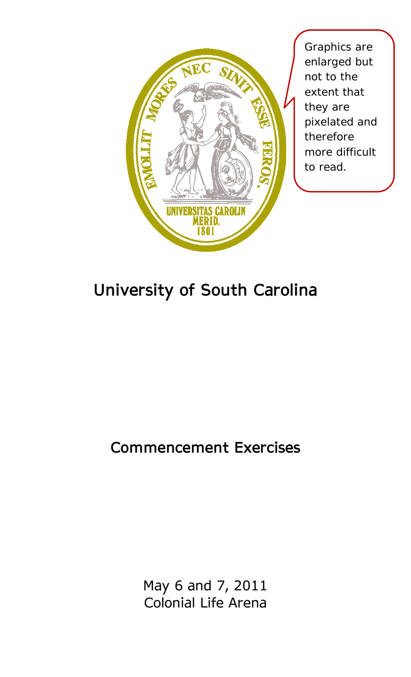

Graphics are enlarged but not to the extent that they are pixelated and therefore more difficult to read.

# **University of South Carolina**

### **Commencement Exercises**

 May 6 and 7, 2011 Colonial Life Arena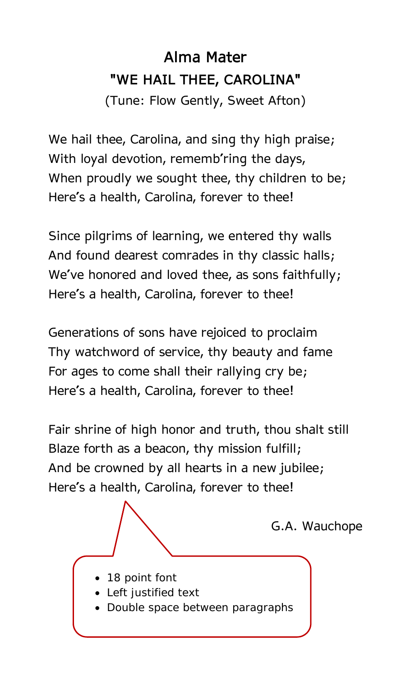# **"WE HAIL THEE, CAROLINA" Alma Mater**

(Tune: Flow Gently, Sweet Afton)

 We hail thee, Carolina, and sing thy high praise; With loyal devotion, rememb'ring the days, When proudly we sought thee, thy children to be; Here's a health, Carolina, forever to thee!

 Since pilgrims of learning, we entered thy walls And found dearest comrades in thy classic halls; Here's a health, Carolina, forever to thee! We've honored and loved thee, as sons faithfully;

 Generations of sons have rejoiced to proclaim Thy watchword of service, thy beauty and fame For ages to come shall their rallying cry be; Here's a health, Carolina, forever to thee!

 Fair shrine of high honor and truth, thou shalt still Blaze forth as a beacon, thy mission fulfill; And be crowned by all hearts in a new jubilee; Here's a health, Carolina, forever to thee!

G.A. Wauchope

- 18 point font
- Left justified text
- Double space between paragraphs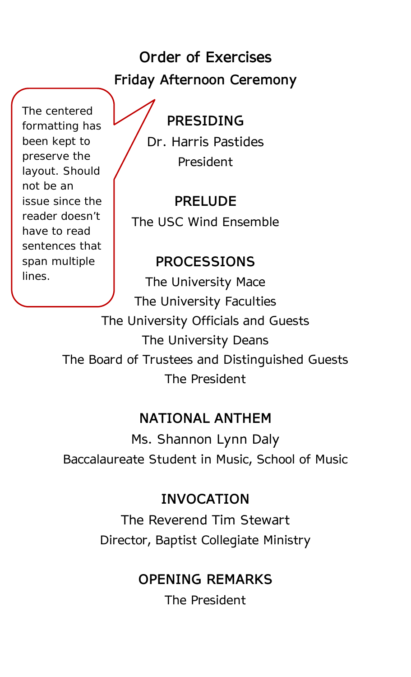## **Order of Exercises Friday Afternoon Ceremony**

The centered formatting has been kept to preserve the layout. Should not be an issue since the reader doesn't have to read sentences that span multiple lines.

### **PRESIDING**

Dr. Harris Pastides President

#### **PRELUDE**

The USC Wind Ensemble

#### **PROCESSIONS**

The University Mace The University Faculties

The University Officials and Guests The University Deans

The Board of Trustees and Distinguished Guests The President

#### **NATIONAL ANTHEM**

Ms. Shannon Lynn Daly Baccalaureate Student in Music, School of Music

#### **INVOCATION**

The Reverend Tim Stewart Director, Baptist Collegiate Ministry

#### **OPENING REMARKS**

The President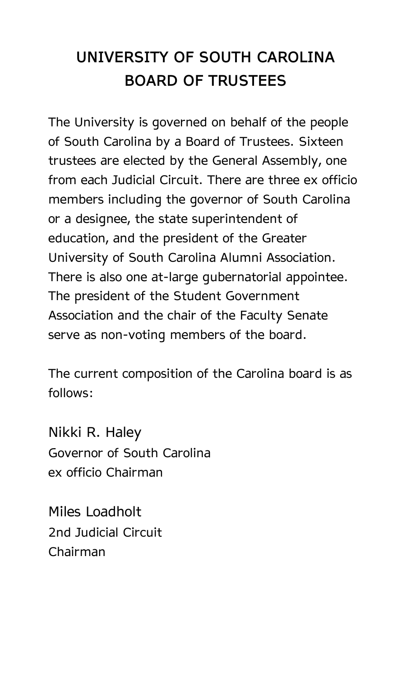### **UNIVERSITY OF SOUTH CAROLINA BOARD OF TRUSTEES**

 The University is governed on behalf of the people of South Carolina by a Board of Trustees. Sixteen trustees are elected by the General Assembly, one from each Judicial Circuit. There are three ex officio members including the governor of South Carolina or a designee, the state superintendent of education, and the president of the Greater University of South Carolina Alumni Association. There is also one at-large gubernatorial appointee. The president of the Student Government Association and the chair of the Faculty Senate serve as non-voting members of the board.

 The current composition of the Carolina board is as follows:

 Governor of South Carolina ex officio Chairman Nikki R. Haley

 Miles Loadholt 2nd Judicial Circuit Chairman